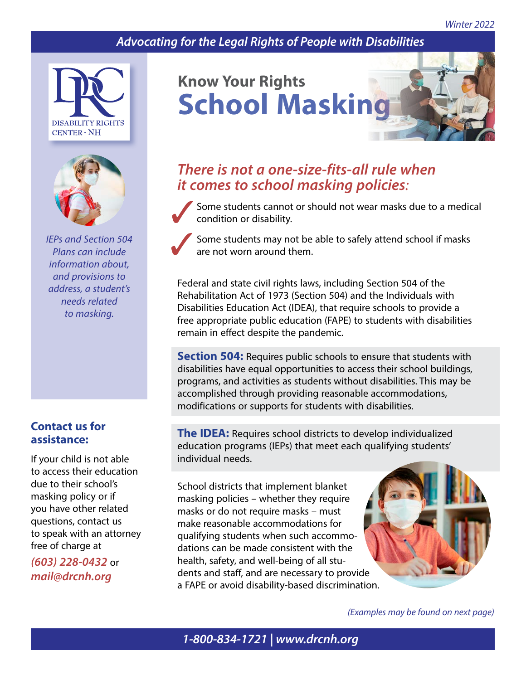## *Advocating for the Legal Rights of People with Disabilities*





*IEPs and Section 504 Plans can include information about, and provisions to address, a student's needs related to masking.*

## **Contact us for assistance:**

If your child is not able to access their education due to their school's masking policy or if you have other related questions, contact us to speak with an attorney free of charge at

*(603) 228-0432* or *mail@drcnh.org*





## *There is not a one-size-fits-all rule when it comes to school masking policies:*

Some students cannot or should not wear masks due to a medical condition or disability.

Some students may not be able to safely attend school if masks are not worn around them.

Federal and state civil rights laws, including Section 504 of the Rehabilitation Act of 1973 (Section 504) and the Individuals with Disabilities Education Act (IDEA), that require schools to provide a free appropriate public education (FAPE) to students with disabilities remain in effect despite the pandemic.

**Section 504:** Requires public schools to ensure that students with disabilities have equal opportunities to access their school buildings, programs, and activities as students without disabilities. This may be accomplished through providing reasonable accommodations, modifications or supports for students with disabilities.

**The IDEA:** Requires school districts to develop individualized education programs (IEPs) that meet each qualifying students' individual needs.

School districts that implement blanket masking policies – whether they require masks or do not require masks – must make reasonable accommodations for qualifying students when such accommodations can be made consistent with the health, safety, and well-being of all students and staff, and are necessary to provide a FAPE or avoid disability-based discrimination.



*(Examples may be found on next page)*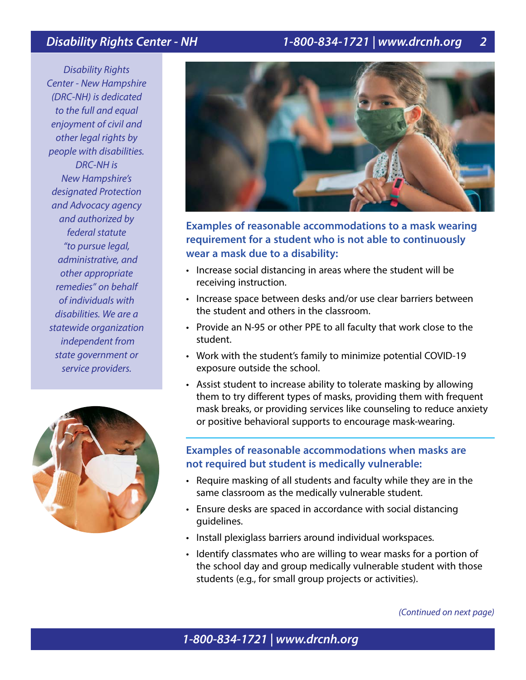## *Disability Rights Center - NH 1-800-834-1721 | www.drcnh.org 2*

*Disability Rights Center - New Hampshire (DRC-NH) is dedicated to the full and equal enjoyment of civil and other legal rights by people with disabilities. DRC-NH is New Hampshire's designated Protection and Advocacy agency and authorized by federal statute "to pursue legal, administrative, and other appropriate remedies" on behalf of individuals with disabilities. We are a statewide organization independent from state government or service providers.*





### **Examples of reasonable accommodations to a mask wearing requirement for a student who is not able to continuously wear a mask due to a disability:**

- Increase social distancing in areas where the student will be receiving instruction.
- Increase space between desks and/or use clear barriers between the student and others in the classroom.
- Provide an N-95 or other PPE to all faculty that work close to the student.
- Work with the student's family to minimize potential COVID-19 exposure outside the school.
- Assist student to increase ability to tolerate masking by allowing them to try different types of masks, providing them with frequent mask breaks, or providing services like counseling to reduce anxiety or positive behavioral supports to encourage mask-wearing.

#### **Examples of reasonable accommodations when masks are not required but student is medically vulnerable:**

- Require masking of all students and faculty while they are in the same classroom as the medically vulnerable student.
- Ensure desks are spaced in accordance with social distancing guidelines.
- Install plexiglass barriers around individual workspaces.
- Identify classmates who are willing to wear masks for a portion of the school day and group medically vulnerable student with those students (e.g., for small group projects or activities).